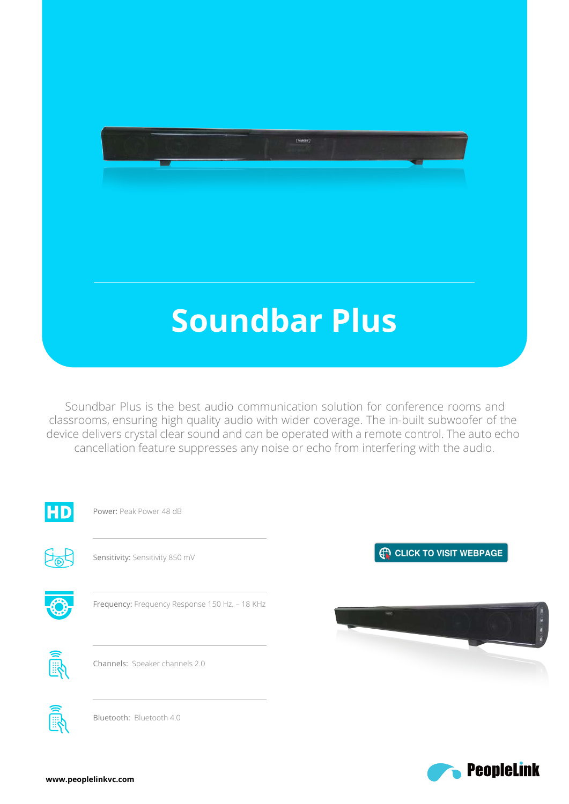# **Soundbar Plus**

 $\frac{1}{\left( \frac{1}{2} \right)^{2}}$ 

 Soundbar Plus is the best audio communication solution for conference rooms and classrooms, ensuring high quality audio with wider coverage. The in-built subwoofer of the device delivers crystal clear sound and can be operated with a remote control. The auto echo cancellation feature suppresses any noise or echo from interfering with the audio.



![](_page_0_Picture_3.jpeg)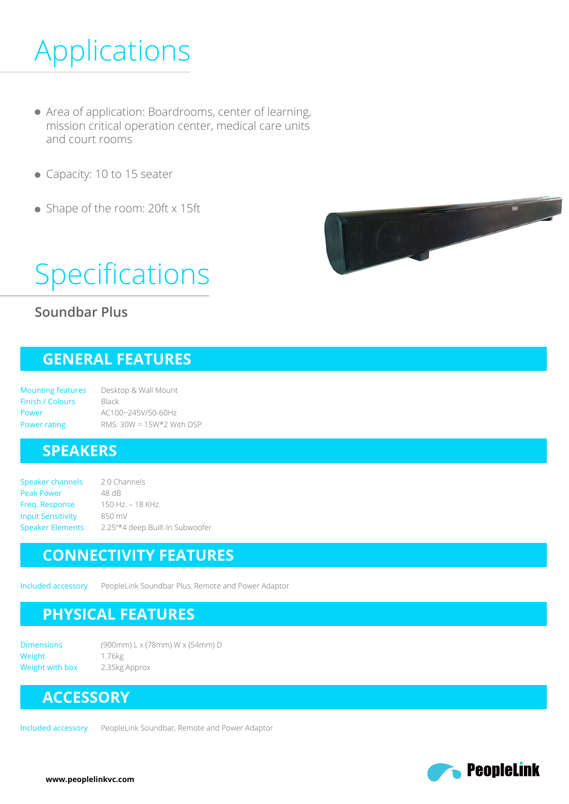## Applications

- Area of application: Boardrooms, center of learning, mission critical operation center, medical care units and court rooms
- Capacity: 10 to 15 seater
- Shape of the room: 20ft x 15ft

# Specifications

#### **Soundbar Plus**

### **GENERAL FEATURES**

Mounting features Finish / Colours Power Power rating Desktop & Wall Mount Black AC100~245V/50-60Hz RMS: 30W = 15W\*2 With DSP

#### **SPEAKERS**

Speaker channels Peak Power Freq. Response Input Sensitivity Speaker Elements 2.0 Channels 48 dB 150 Hz. – 18 KHz. 850 mV 2.25"\*4 deep Built-In Subwoofer

### **CONNECTIVITY FEATURES**

Included accessory PeopleLink Soundbar Plus, Remote and Power Adaptor

### **PHYSICAL FEATURES**

**Dimensions** Weight Weight with box (900mm) L x (78mm) W x (54mm) D 1.76kg 2.35kg Approx

## **ACCESSORY**

Included accessory PeopleLink Soundbar, Remote and Power Adaptor

![](_page_1_Picture_19.jpeg)

![](_page_1_Picture_20.jpeg)